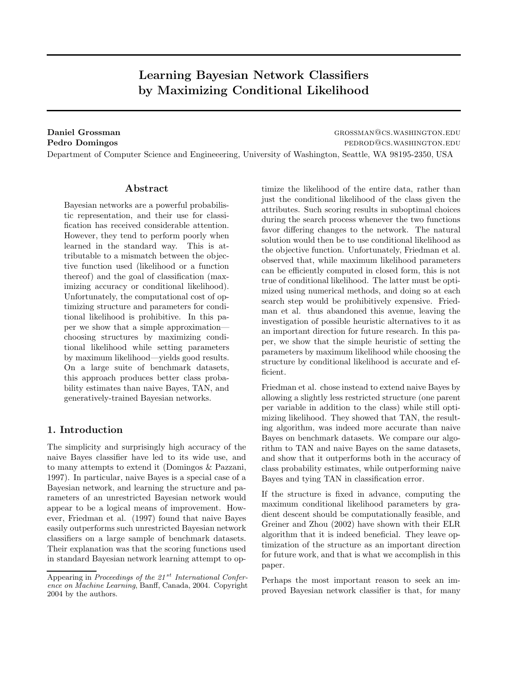# Learning Bayesian Network Classifiers by Maximizing Conditional Likelihood

Daniel Grossman Grossman Grossman grossman grossman grossman grossman grossman grossman grossman grossman grossman grossman grossman grossman grossman grossman grossman grossman grossman grossman grossman grossman grossman Pedro Domingos **pedro Domingos** pedrodos.washington.edu

Department of Computer Science and Engineeering, University of Washington, Seattle, WA 98195-2350, USA

# Abstract

Bayesian networks are a powerful probabilistic representation, and their use for classification has received considerable attention. However, they tend to perform poorly when learned in the standard way. This is attributable to a mismatch between the objective function used (likelihood or a function thereof) and the goal of classification (maximizing accuracy or conditional likelihood). Unfortunately, the computational cost of optimizing structure and parameters for conditional likelihood is prohibitive. In this paper we show that a simple approximation choosing structures by maximizing conditional likelihood while setting parameters by maximum likelihood—yields good results. On a large suite of benchmark datasets, this approach produces better class probability estimates than naive Bayes, TAN, and generatively-trained Bayesian networks.

# 1. Introduction

The simplicity and surprisingly high accuracy of the naive Bayes classifier have led to its wide use, and to many attempts to extend it (Domingos & Pazzani, 1997). In particular, naive Bayes is a special case of a Bayesian network, and learning the structure and parameters of an unrestricted Bayesian network would appear to be a logical means of improvement. However, Friedman et al. (1997) found that naive Bayes easily outperforms such unrestricted Bayesian network classifiers on a large sample of benchmark datasets. Their explanation was that the scoring functions used in standard Bayesian network learning attempt to optimize the likelihood of the entire data, rather than just the conditional likelihood of the class given the attributes. Such scoring results in suboptimal choices during the search process whenever the two functions favor differing changes to the network. The natural solution would then be to use conditional likelihood as the objective function. Unfortunately, Friedman et al. observed that, while maximum likelihood parameters can be efficiently computed in closed form, this is not true of conditional likelihood. The latter must be optimized using numerical methods, and doing so at each search step would be prohibitively expensive. Friedman et al. thus abandoned this avenue, leaving the investigation of possible heuristic alternatives to it as an important direction for future research. In this paper, we show that the simple heuristic of setting the parameters by maximum likelihood while choosing the structure by conditional likelihood is accurate and efficient.

Friedman et al. chose instead to extend naive Bayes by allowing a slightly less restricted structure (one parent per variable in addition to the class) while still optimizing likelihood. They showed that TAN, the resulting algorithm, was indeed more accurate than naive Bayes on benchmark datasets. We compare our algorithm to TAN and naive Bayes on the same datasets, and show that it outperforms both in the accuracy of class probability estimates, while outperforming naive Bayes and tying TAN in classification error.

If the structure is fixed in advance, computing the maximum conditional likelihood parameters by gradient descent should be computationally feasible, and Greiner and Zhou (2002) have shown with their ELR algorithm that it is indeed beneficial. They leave optimization of the structure as an important direction for future work, and that is what we accomplish in this paper.

Perhaps the most important reason to seek an improved Bayesian network classifier is that, for many

Appearing in Proceedings of the  $21^{st}$  International Conference on Machine Learning, Banff, Canada, 2004. Copyright 2004 by the authors.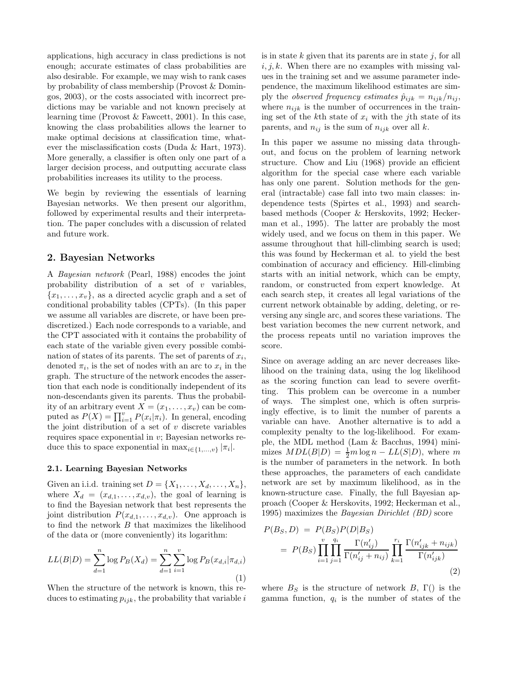applications, high accuracy in class predictions is not enough; accurate estimates of class probabilities are also desirable. For example, we may wish to rank cases by probability of class membership (Provost & Domingos, 2003), or the costs associated with incorrect predictions may be variable and not known precisely at learning time (Provost & Fawcett, 2001). In this case, knowing the class probabilities allows the learner to make optimal decisions at classification time, whatever the misclassification costs (Duda & Hart, 1973). More generally, a classifier is often only one part of a larger decision process, and outputting accurate class probabilities increases its utility to the process.

We begin by reviewing the essentials of learning Bayesian networks. We then present our algorithm, followed by experimental results and their interpretation. The paper concludes with a discussion of related and future work.

#### 2. Bayesian Networks

A Bayesian network (Pearl, 1988) encodes the joint probability distribution of a set of  $v$  variables,  ${x_1, \ldots, x_v}$ , as a directed acyclic graph and a set of conditional probability tables (CPTs). (In this paper we assume all variables are discrete, or have been prediscretized.) Each node corresponds to a variable, and the CPT associated with it contains the probability of each state of the variable given every possible combination of states of its parents. The set of parents of  $x_i$ , denoted  $\pi_i$ , is the set of nodes with an arc to  $x_i$  in the graph. The structure of the network encodes the assertion that each node is conditionally independent of its non-descendants given its parents. Thus the probability of an arbitrary event  $X = (x_1, \ldots, x_v)$  can be computed as  $P(X) = \prod_{i=1}^{v} P(x_i | \pi_i)$ . In general, encoding the joint distribution of a set of  $v$  discrete variables requires space exponential in v; Bayesian networks reduce this to space exponential in  $\max_{i \in \{1,...,v\}} |\pi_i|$ .

#### 2.1. Learning Bayesian Networks

Given an i.i.d. training set  $D = \{X_1, \ldots, X_d, \ldots, X_n\},\$ where  $X_d = (x_{d,1}, \ldots, x_{d,v})$ , the goal of learning is to find the Bayesian network that best represents the joint distribution  $P(x_{d,1}, \ldots, x_{d,v})$ . One approach is to find the network B that maximizes the likelihood of the data or (more conveniently) its logarithm:

$$
LL(B|D) = \sum_{d=1}^{n} \log P_B(X_d) = \sum_{d=1}^{n} \sum_{i=1}^{v} \log P_B(x_{d,i} | \pi_{d,i})
$$
\n(1)

When the structure of the network is known, this reduces to estimating  $p_{ijk}$ , the probability that variable i is in state  $k$  given that its parents are in state  $j$ , for all  $i, j, k$ . When there are no examples with missing values in the training set and we assume parameter independence, the maximum likelihood estimates are simply the observed frequency estimates  $\hat{p}_{ijk} = n_{ijk}/n_{ij}$ , where  $n_{ijk}$  is the number of occurrences in the training set of the k<sup>th</sup> state of  $x_i$  with the j<sup>th</sup> state of its parents, and  $n_{ij}$  is the sum of  $n_{ijk}$  over all k.

In this paper we assume no missing data throughout, and focus on the problem of learning network structure. Chow and Liu (1968) provide an efficient algorithm for the special case where each variable has only one parent. Solution methods for the general (intractable) case fall into two main classes: independence tests (Spirtes et al., 1993) and searchbased methods (Cooper & Herskovits, 1992; Heckerman et al., 1995). The latter are probably the most widely used, and we focus on them in this paper. We assume throughout that hill-climbing search is used; this was found by Heckerman et al. to yield the best combination of accuracy and efficiency. Hill-climbing starts with an initial network, which can be empty, random, or constructed from expert knowledge. At each search step, it creates all legal variations of the current network obtainable by adding, deleting, or reversing any single arc, and scores these variations. The best variation becomes the new current network, and the process repeats until no variation improves the score.

Since on average adding an arc never decreases likelihood on the training data, using the log likelihood as the scoring function can lead to severe overfitting. This problem can be overcome in a number of ways. The simplest one, which is often surprisingly effective, is to limit the number of parents a variable can have. Another alternative is to add a complexity penalty to the log-likelihood. For example, the MDL method (Lam & Bacchus, 1994) minimizes  $MDL(B|D) = \frac{1}{2}m \log n - LL(S|D)$ , where m is the number of parameters in the network. In both these approaches, the parameters of each candidate network are set by maximum likelihood, as in the known-structure case. Finally, the full Bayesian approach (Cooper & Herskovits, 1992; Heckerman et al., 1995) maximizes the *Bayesian Dirichlet* (BD) score

$$
P(B_S, D) = P(B_S)P(D|B_S)
$$
  
=  $P(B_S) \prod_{i=1}^{v} \prod_{j=1}^{q_i} \frac{\Gamma(n'_{ij})}{\Gamma(n'_{ij} + n_{ij})} \prod_{k=1}^{r_i} \frac{\Gamma(n'_{ijk} + n_{ijk})}{\Gamma(n'_{ijk})}$  (2)

where  $B<sub>S</sub>$  is the structure of network B,  $\Gamma$ () is the gamma function,  $q_i$  is the number of states of the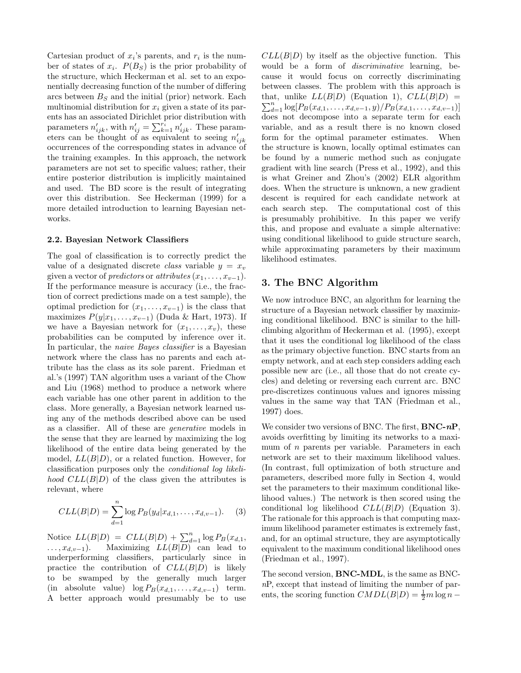Cartesian product of  $x_i$ 's parents, and  $r_i$  is the number of states of  $x_i$ .  $P(B_S)$  is the prior probability of the structure, which Heckerman et al. set to an exponentially decreasing function of the number of differing arcs between  $B<sub>S</sub>$  and the initial (prior) network. Each multinomial distribution for  $x_i$  given a state of its parents has an associated Dirichlet prior distribution with parameters  $n'_{ijk}$ , with  $n'_{ij} = \sum_{k=1}^{r_i} n'_{ijk}$ . These parameters can be thought of as equivalent to seeing  $n'_{ijk}$ occurrences of the corresponding states in advance of the training examples. In this approach, the network parameters are not set to specific values; rather, their entire posterior distribution is implicitly maintained and used. The BD score is the result of integrating over this distribution. See Heckerman (1999) for a more detailed introduction to learning Bayesian networks.

#### 2.2. Bayesian Network Classifiers

The goal of classification is to correctly predict the value of a designated discrete *class* variable  $y = x<sub>v</sub>$ given a vector of *predictors* or *attributes*  $(x_1, \ldots, x_{v-1})$ . If the performance measure is accuracy (i.e., the fraction of correct predictions made on a test sample), the optimal prediction for  $(x_1, \ldots, x_{v-1})$  is the class that maximizes  $P(y|x_1, \ldots, x_{v-1})$  (Duda & Hart, 1973). If we have a Bayesian network for  $(x_1, \ldots, x_v)$ , these probabilities can be computed by inference over it. In particular, the *naive Bayes classifier* is a Bayesian network where the class has no parents and each attribute has the class as its sole parent. Friedman et al.'s (1997) TAN algorithm uses a variant of the Chow and Liu (1968) method to produce a network where each variable has one other parent in addition to the class. More generally, a Bayesian network learned using any of the methods described above can be used as a classifier. All of these are generative models in the sense that they are learned by maximizing the log likelihood of the entire data being generated by the model,  $LL(B|D)$ , or a related function. However, for classification purposes only the conditional log likeli*hood*  $CLL(B|D)$  of the class given the attributes is relevant, where

$$
CLL(B|D) = \sum_{d=1}^{n} \log P_B(y_d | x_{d,1}, \dots, x_{d,v-1}).
$$
 (3)

Notice  $LL(B|D) = CLL(B|D) + \sum_{d=1}^{n} \log P_B(x_{d,1},$  $\dots, x_{d,v-1}$ ). Maximizing  $LL(B|D)$  can lead to underperforming classifiers, particularly since in practice the contribution of  $CLL(B|D)$  is likely to be swamped by the generally much larger (in absolute value)  $\log P_B(x_{d,1}, \ldots, x_{d,v-1})$  term. A better approach would presumably be to use  $CLL(B|D)$  by itself as the objective function. This would be a form of discriminative learning, because it would focus on correctly discriminating between classes. The problem with this approach is that, unlike  $LL(B|D)$  (Equation 1),  $CLL(B|D)$  =  $\sum_{d=1}^{n} \log [P_B(x_{d,1}, \ldots, x_{d,v-1}, y) / P_B(x_{d,1}, \ldots, x_{d,v-1})]$ does not decompose into a separate term for each variable, and as a result there is no known closed form for the optimal parameter estimates. When the structure is known, locally optimal estimates can be found by a numeric method such as conjugate gradient with line search (Press et al., 1992), and this is what Greiner and Zhou's (2002) ELR algorithm does. When the structure is unknown, a new gradient descent is required for each candidate network at each search step. The computational cost of this is presumably prohibitive. In this paper we verify this, and propose and evaluate a simple alternative: using conditional likelihood to guide structure search, while approximating parameters by their maximum likelihood estimates.

#### 3. The BNC Algorithm

We now introduce BNC, an algorithm for learning the structure of a Bayesian network classifier by maximizing conditional likelihood. BNC is similar to the hillclimbing algorithm of Heckerman et al. (1995), except that it uses the conditional log likelihood of the class as the primary objective function. BNC starts from an empty network, and at each step considers adding each possible new arc (i.e., all those that do not create cycles) and deleting or reversing each current arc. BNC pre-discretizes continuous values and ignores missing values in the same way that TAN (Friedman et al., 1997) does.

We consider two versions of BNC. The first,  $BNC-nP$ , avoids overfitting by limiting its networks to a maximum of  $n$  parents per variable. Parameters in each network are set to their maximum likelihood values. (In contrast, full optimization of both structure and parameters, described more fully in Section 4, would set the parameters to their maximum conditional likelihood values.) The network is then scored using the conditional log likelihood  $CLL(B|D)$  (Equation 3). The rationale for this approach is that computing maximum likelihood parameter estimates is extremely fast, and, for an optimal structure, they are asymptotically equivalent to the maximum conditional likelihood ones (Friedman et al., 1997).

The second version, BNC-MDL, is the same as BNCnP, except that instead of limiting the number of parents, the scoring function  $CMDL(B|D) = \frac{1}{2}m \log n -$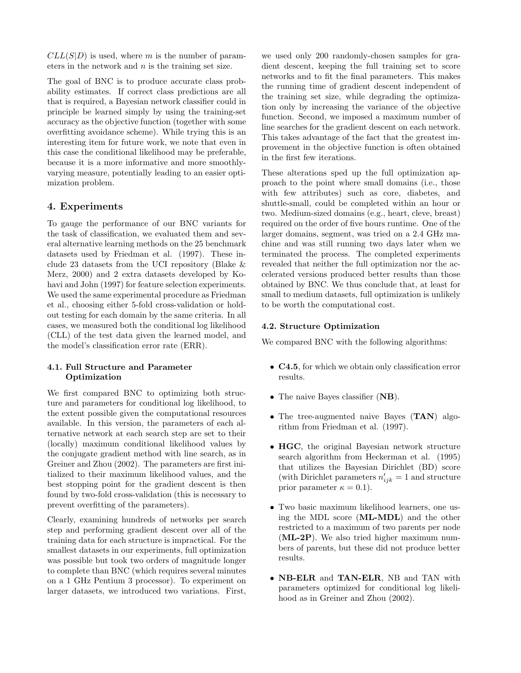$CLL(S|D)$  is used, where m is the number of parameters in the network and  $n$  is the training set size.

The goal of BNC is to produce accurate class probability estimates. If correct class predictions are all that is required, a Bayesian network classifier could in principle be learned simply by using the training-set accuracy as the objective function (together with some overfitting avoidance scheme). While trying this is an interesting item for future work, we note that even in this case the conditional likelihood may be preferable, because it is a more informative and more smoothlyvarying measure, potentially leading to an easier optimization problem.

# 4. Experiments

To gauge the performance of our BNC variants for the task of classification, we evaluated them and several alternative learning methods on the 25 benchmark datasets used by Friedman et al. (1997). These include 23 datasets from the UCI repository (Blake & Merz, 2000) and 2 extra datasets developed by Kohavi and John (1997) for feature selection experiments. We used the same experimental procedure as Friedman et al., choosing either 5-fold cross-validation or holdout testing for each domain by the same criteria. In all cases, we measured both the conditional log likelihood (CLL) of the test data given the learned model, and the model's classification error rate (ERR).

#### 4.1. Full Structure and Parameter Optimization

We first compared BNC to optimizing both structure and parameters for conditional log likelihood, to the extent possible given the computational resources available. In this version, the parameters of each alternative network at each search step are set to their (locally) maximum conditional likelihood values by the conjugate gradient method with line search, as in Greiner and Zhou (2002). The parameters are first initialized to their maximum likelihood values, and the best stopping point for the gradient descent is then found by two-fold cross-validation (this is necessary to prevent overfitting of the parameters).

Clearly, examining hundreds of networks per search step and performing gradient descent over all of the training data for each structure is impractical. For the smallest datasets in our experiments, full optimization was possible but took two orders of magnitude longer to complete than BNC (which requires several minutes on a 1 GHz Pentium 3 processor). To experiment on larger datasets, we introduced two variations. First,

we used only 200 randomly-chosen samples for gradient descent, keeping the full training set to score networks and to fit the final parameters. This makes the running time of gradient descent independent of the training set size, while degrading the optimization only by increasing the variance of the objective function. Second, we imposed a maximum number of line searches for the gradient descent on each network. This takes advantage of the fact that the greatest improvement in the objective function is often obtained in the first few iterations.

These alterations sped up the full optimization approach to the point where small domains (i.e., those with few attributes) such as core, diabetes, and shuttle-small, could be completed within an hour or two. Medium-sized domains (e.g., heart, cleve, breast) required on the order of five hours runtime. One of the larger domains, segment, was tried on a 2.4 GHz machine and was still running two days later when we terminated the process. The completed experiments revealed that neither the full optimization nor the accelerated versions produced better results than those obtained by BNC. We thus conclude that, at least for small to medium datasets, full optimization is unlikely to be worth the computational cost.

#### 4.2. Structure Optimization

We compared BNC with the following algorithms:

- C4.5, for which we obtain only classification error results.
- The naive Bayes classifier (NB).
- The tree-augmented naive Bayes (TAN) algorithm from Friedman et al. (1997).
- HGC, the original Bayesian network structure search algorithm from Heckerman et al. (1995) that utilizes the Bayesian Dirichlet (BD) score (with Dirichlet parameters  $n'_{ijk} = 1$  and structure prior parameter  $\kappa = 0.1$ ).
- Two basic maximum likelihood learners, one using the MDL score (ML-MDL) and the other restricted to a maximum of two parents per node (ML-2P). We also tried higher maximum numbers of parents, but these did not produce better results.
- NB-ELR and TAN-ELR, NB and TAN with parameters optimized for conditional log likelihood as in Greiner and Zhou (2002).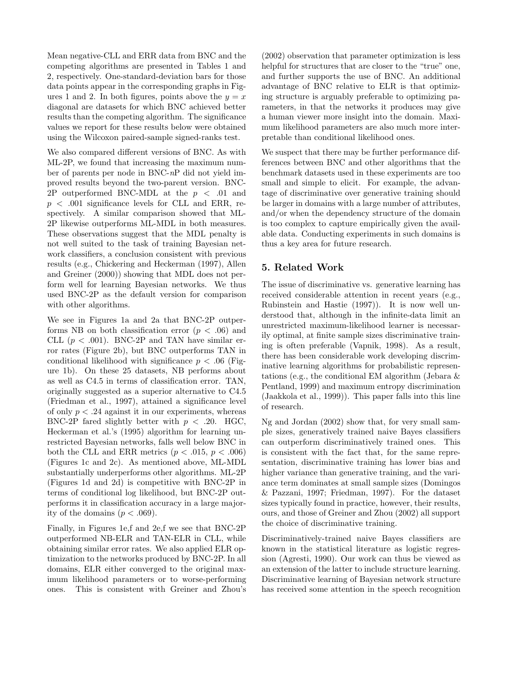Mean negative-CLL and ERR data from BNC and the competing algorithms are presented in Tables 1 and 2, respectively. One-standard-deviation bars for those data points appear in the corresponding graphs in Figures 1 and 2. In both figures, points above the  $y = x$ diagonal are datasets for which BNC achieved better results than the competing algorithm. The significance values we report for these results below were obtained using the Wilcoxon paired-sample signed-ranks test.

We also compared different versions of BNC. As with ML-2P, we found that increasing the maximum number of parents per node in BNC-nP did not yield improved results beyond the two-parent version. BNC-2P outperformed BNC-MDL at the  $p < .01$  and  $p \leq .001$  significance levels for CLL and ERR, respectively. A similar comparison showed that ML-2P likewise outperforms ML-MDL in both measures. These observations suggest that the MDL penalty is not well suited to the task of training Bayesian network classifiers, a conclusion consistent with previous results (e.g., Chickering and Heckerman (1997), Allen and Greiner (2000)) showing that MDL does not perform well for learning Bayesian networks. We thus used BNC-2P as the default version for comparison with other algorithms.

We see in Figures 1a and 2a that BNC-2P outperforms NB on both classification error  $(p < .06)$  and CLL  $(p < .001)$ . BNC-2P and TAN have similar error rates (Figure 2b), but BNC outperforms TAN in conditional likelihood with significance  $p < .06$  (Figure 1b). On these 25 datasets, NB performs about as well as C4.5 in terms of classification error. TAN, originally suggested as a superior alternative to C4.5 (Friedman et al., 1997), attained a significance level of only  $p < .24$  against it in our experiments, whereas BNC-2P fared slightly better with  $p < .20$ . HGC, Heckerman et al.'s (1995) algorithm for learning unrestricted Bayesian networks, falls well below BNC in both the CLL and ERR metrics  $(p < .015, p < .006)$ (Figures 1c and 2c). As mentioned above, ML-MDL substantially underperforms other algorithms. ML-2P (Figures 1d and 2d) is competitive with BNC-2P in terms of conditional log likelihood, but BNC-2P outperforms it in classification accuracy in a large majority of the domains  $(p < .069)$ .

Finally, in Figures 1e,f and 2e,f we see that BNC-2P outperformed NB-ELR and TAN-ELR in CLL, while obtaining similar error rates. We also applied ELR optimization to the networks produced by BNC-2P. In all domains, ELR either converged to the original maximum likelihood parameters or to worse-performing ones. This is consistent with Greiner and Zhou's

(2002) observation that parameter optimization is less helpful for structures that are closer to the "true" one, and further supports the use of BNC. An additional advantage of BNC relative to ELR is that optimizing structure is arguably preferable to optimizing parameters, in that the networks it produces may give a human viewer more insight into the domain. Maximum likelihood parameters are also much more interpretable than conditional likelihood ones.

We suspect that there may be further performance differences between BNC and other algorithms that the benchmark datasets used in these experiments are too small and simple to elicit. For example, the advantage of discriminative over generative training should be larger in domains with a large number of attributes, and/or when the dependency structure of the domain is too complex to capture empirically given the available data. Conducting experiments in such domains is thus a key area for future research.

# 5. Related Work

The issue of discriminative vs. generative learning has received considerable attention in recent years (e.g., Rubinstein and Hastie (1997)). It is now well understood that, although in the infinite-data limit an unrestricted maximum-likelihood learner is necessarily optimal, at finite sample sizes discriminative training is often preferable (Vapnik, 1998). As a result, there has been considerable work developing discriminative learning algorithms for probabilistic representations (e.g., the conditional EM algorithm (Jebara & Pentland, 1999) and maximum entropy discrimination (Jaakkola et al., 1999)). This paper falls into this line of research.

Ng and Jordan (2002) show that, for very small sample sizes, generatively trained naive Bayes classifiers can outperform discriminatively trained ones. This is consistent with the fact that, for the same representation, discriminative training has lower bias and higher variance than generative training, and the variance term dominates at small sample sizes (Domingos & Pazzani, 1997; Friedman, 1997). For the dataset sizes typically found in practice, however, their results, ours, and those of Greiner and Zhou (2002) all support the choice of discriminative training.

Discriminatively-trained naive Bayes classifiers are known in the statistical literature as logistic regression (Agresti, 1990). Our work can thus be viewed as an extension of the latter to include structure learning. Discriminative learning of Bayesian network structure has received some attention in the speech recognition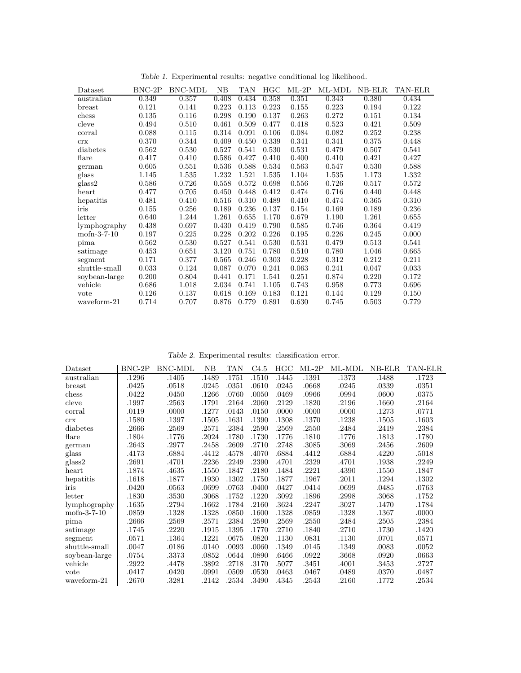| Dataset       | $BNC-2P$ | BNC-MDL | $_{\rm NB}$ | <b>TAN</b> | HGC   | $ML-2P$ | ML-MDL | NB-ELR | TAN-ELR |
|---------------|----------|---------|-------------|------------|-------|---------|--------|--------|---------|
| australian    | 0.349    | 0.357   | 0.408       | 0.434      | 0.358 | 0.351   | 0.343  | 0.380  | 0.434   |
| breast        | 0.121    | 0.141   | 0.223       | 0.113      | 0.223 | 0.155   | 0.223  | 0.194  | 0.122   |
| chess         | 0.135    | 0.116   | 0.298       | 0.190      | 0.137 | 0.263   | 0.272  | 0.151  | 0.134   |
| cleve         | 0.494    | 0.510   | 0.461       | 0.509      | 0.477 | 0.418   | 0.523  | 0.421  | 0.509   |
| corral        | 0.088    | 0.115   | 0.314       | 0.091      | 0.106 | 0.084   | 0.082  | 0.252  | 0.238   |
| <b>CTX</b>    | 0.370    | 0.344   | 0.409       | 0.450      | 0.339 | 0.341   | 0.341  | 0.375  | 0.448   |
| diabetes      | 0.562    | 0.530   | 0.527       | 0.541      | 0.530 | 0.531   | 0.479  | 0.507  | 0.541   |
| flare         | 0.417    | 0.410   | 0.586       | 0.427      | 0.410 | 0.400   | 0.410  | 0.421  | 0.427   |
| german        | 0.605    | 0.551   | 0.536       | 0.588      | 0.534 | 0.563   | 0.547  | 0.530  | 0.588   |
| glass         | 1.145    | 1.535   | 1.232       | 1.521      | 1.535 | 1.104   | 1.535  | 1.173  | 1.332   |
| glass2        | 0.586    | 0.726   | 0.558       | 0.572      | 0.698 | 0.556   | 0.726  | 0.517  | 0.572   |
| heart         | 0.477    | 0.705   | 0.450       | 0.448      | 0.412 | 0.474   | 0.716  | 0.440  | 0.448   |
| hepatitis     | 0.481    | 0.410   | 0.516       | 0.310      | 0.489 | 0.410   | 0.474  | 0.365  | 0.310   |
| iris          | 0.155    | 0.256   | 0.189       | 0.236      | 0.137 | 0.154   | 0.169  | 0.189  | 0.236   |
| letter        | 0.640    | 1.244   | 1.261       | 0.655      | 1.170 | 0.679   | 1.190  | 1.261  | 0.655   |
| lymphography  | 0.438    | 0.697   | 0.430       | 0.419      | 0.790 | 0.585   | 0.746  | 0.364  | 0.419   |
| $mofn-3-7-10$ | 0.197    | 0.225   | 0.228       | 0.202      | 0.226 | 0.195   | 0.226  | 0.245  | 0.000   |
| pima          | 0.562    | 0.530   | 0.527       | 0.541      | 0.530 | 0.531   | 0.479  | 0.513  | 0.541   |
| satimage      | 0.453    | 0.651   | 3.120       | 0.751      | 0.780 | 0.510   | 0.780  | 1.046  | 0.665   |
| segment       | 0.171    | 0.377   | 0.565       | 0.246      | 0.303 | 0.228   | 0.312  | 0.212  | 0.211   |
| shuttle-small | 0.033    | 0.124   | 0.087       | 0.070      | 0.241 | 0.063   | 0.241  | 0.047  | 0.033   |
| soybean-large | 0.200    | 0.804   | 0.441       | 0.171      | 1.541 | 0.251   | 0.874  | 0.220  | 0.172   |
| vehicle       | 0.686    | 1.018   | 2.034       | 0.741      | 1.105 | 0.743   | 0.958  | 0.773  | 0.696   |
| vote          | 0.126    | 0.137   | 0.618       | 0.169      | 0.183 | 0.121   | 0.144  | 0.129  | 0.150   |
| waveform-21   | 0.714    | 0.707   | 0.876       | 0.779      | 0.891 | 0.630   | 0.745  | 0.503  | 0.779   |

Table 1. Experimental results: negative conditional log likelihood.

Table 2. Experimental results: classification error.

| Dataset       | BNC-2P | BNC-MDL | NB    | TAN   | C4.5  | $_{\mathrm{HGC}}$ | $ML-2P$ | ML-MDL | $NB-ELR$ | TAN-ELR |
|---------------|--------|---------|-------|-------|-------|-------------------|---------|--------|----------|---------|
| australian    | .1296  | .1405   | .1489 | .1751 | .1510 | .1445             | .1391   | .1373  | .1488    | .1723   |
| breast        | .0425  | .0518   | .0245 | .0351 | .0610 | .0245             | .0668   | .0245  | .0339    | .0351   |
| chess         | .0422  | .0450   | .1266 | .0760 | .0050 | .0469             | .0966   | .0994  | .0600    | .0375   |
| cleve         | .1997  | .2563   | .1791 | .2164 | .2060 | .2129             | .1820   | .2196  | .1660    | .2164   |
| corral        | .0119  | .0000   | .1277 | .0143 | .0150 | .0000             | .0000   | .0000  | .1273    | .0771   |
| <b>CTX</b>    | .1580  | .1397   | .1505 | .1631 | .1390 | .1308             | .1370   | .1238  | .1505    | .1603   |
| diabetes      | .2666  | .2569   | .2571 | .2384 | .2590 | .2569             | .2550   | .2484  | .2419    | .2384   |
| flare         | .1804  | .1776   | .2024 | .1780 | .1730 | .1776             | .1810   | .1776  | .1813    | .1780   |
| german        | .2643  | .2977   | .2458 | .2609 | .2710 | .2748             | .3085   | .3069  | .2456    | .2609   |
| glass         | .4173  | .6884   | .4412 | .4578 | .4070 | .6884             | .4412   | .6884  | .4220    | .5018   |
| glass2        | .2691  | .4701   | .2236 | .2249 | .2390 | .4701             | .2329   | .4701  | .1938    | .2249   |
| heart         | .1874  | .4635   | .1550 | .1847 | .2180 | .1484             | .2221   | .4390  | .1550    | .1847   |
| hepatitis     | .1618  | .1877   | .1930 | .1302 | .1750 | .1877             | .1967   | .2011  | .1294    | .1302   |
| iris          | .0420  | .0563   | .0699 | .0763 | .0400 | .0427             | .0414   | .0699  | .0485    | .0763   |
| letter        | .1830  | .3530   | .3068 | .1752 | .1220 | .3092             | .1896   | .2998  | .3068    | .1752   |
| lymphography  | .1635  | .2794   | .1662 | .1784 | .2160 | .3624             | .2247   | .3027  | .1470    | .1784   |
| $mofn-3-7-10$ | .0859  | .1328   | .1328 | .0850 | .1600 | .1328             | .0859   | .1328  | .1367    | .0000   |
| pima          | .2666  | .2569   | .2571 | .2384 | .2590 | .2569             | .2550   | .2484  | .2505    | .2384   |
| satimage      | .1745  | .2220   | .1915 | .1395 | .1770 | .2710             | .1840   | .2710  | .1730    | .1420   |
| segment       | .0571  | .1364   | .1221 | .0675 | .0820 | .1130             | .0831   | .1130  | .0701    | .0571   |
| shuttle-small | .0047  | .0186   | .0140 | .0093 | .0060 | .1349             | .0145   | .1349  | .0083    | .0052   |
| soybean-large | .0754  | .3373   | .0852 | .0644 | .0890 | .6466             | .0922   | .3668  | .0920    | .0663   |
| vehicle       | .2922  | .4478   | .3892 | .2718 | .3170 | .5077             | .3451   | .4001  | .3453    | .2727   |
| vote          | .0417  | .0420   | .0991 | .0509 | .0530 | .0463             | .0467   | .0489  | .0370    | .0487   |
| waveform-21   | .2670  | .3281   | .2142 | .2534 | .3490 | .4345             | .2543   | .2160  | .1772    | .2534   |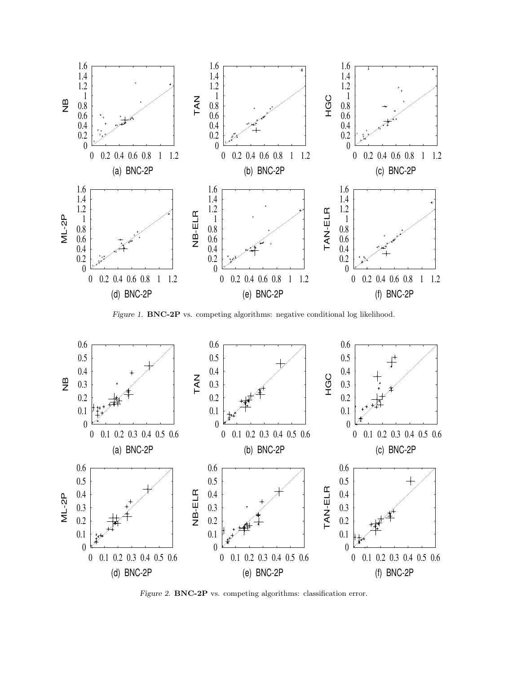

Figure 1. BNC-2P vs. competing algorithms: negative conditional log likelihood.



Figure 2. BNC-2P vs. competing algorithms: classification error.